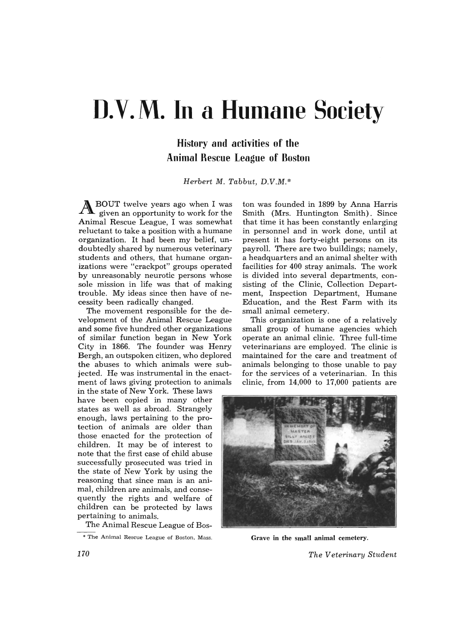# D.V.M. In a Humane Society

# **History and activities of the Animal Rescue League of Boston**

*Herbert* M. *Tabbut, D.V.M.\** 

ABOUT twelve years ago when I was given an opportunity to work for the Animal Rescue League, I was somewhat reluctant to take a position with a humane organization. It had been my belief, undoubtedly shared by numerous veterinary students and others, that humane organizations were "crackpot" groups operated by unreasonably neurotic persons whose sole mission in life was that of making trouble. My ideas since then have of necessity been radically changed.

The movement responsible for the development of the Animal Rescue League and some five hundred other organizations of similar function began in New York City in 1866. The founder was Henry Bergh, an outspoken citizen, who deplored the abuses to which animals were subjected. He was instrumental in the enactment of laws giving protection to animals

in the state of New York. These laws have been copied in many other states as well as abroad. Strangely enough, laws pertaining to the protection of animals are older than those enacted for the protection of children. It may be of interest to note that the first case of child abuse successfully prosecuted was tried in the state of New York by using the reasoning that since man is an animal, children are animals, and consequently the rights and welfare of children can be protected by laws pertaining to animals.

The Animal Rescue League of Bos-

\* The Animal Rescue League of Boston, Mass.

ton was founded in 1899 by Anna Harris Smith (Mrs. Huntington Smith). Since that time it has been constantly enlarging in personnel and in work done, until at present it has forty-eight persons on its payroll. There are two buildings; namely, a headquarters and an animal shelter with facilities for 400 stray animals. The work is divided into several departments, consisting of the Clinic, Collection Department, Inspection Department, Humane Education, and the Rest Farm with its small animal cemetery.

This organization is one of a relatively small group of humane agencies which operate an animal clinic. Three full-time veterinarians are employed. The clinic is maintained for the care and treatment of animals belonging to those unable to pay for the services of a veterinarian. In this clinic, from 14,000 to 17,000 patients are



Grave in the small animal cemetery.

*The Veterinary Student*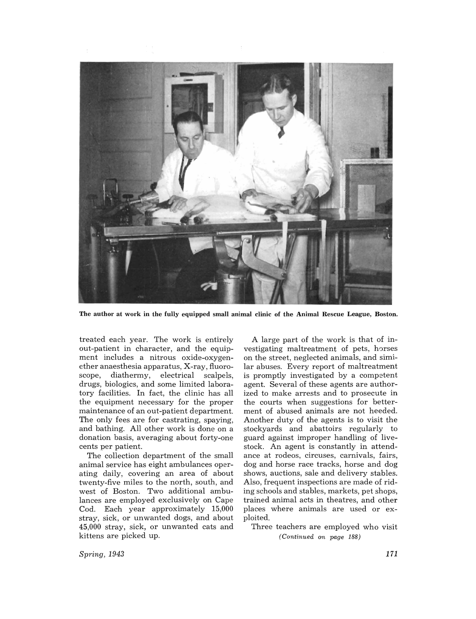

The author at work in the fully equipped small animal clinic of the Animal Rescue League, Boston.

treated each year. The work is entirely out-patient in character, and the equipment includes a nitrous oxide-oxygenether anaesthesia apparatus, X-ray, fluoroscope, diathermy, electrical scalpels, drugs, biologics, and some limited laboratory facilities. In fact, the clinic has all the equipment necessary for the proper maintenance of an out-patient department. The only fees are for castrating, spaying, and bathing. All other work is done on a donation basis, averaging about forty-one cents per patient.

The collection department of the small animal service has eight ambulances operating daily, covering an area of about twenty-five miles to the north, south, and west of Boston. Two additional ambulances are employed exclusively on Cape Cod. Each year approximately 15,000 stray, sick, or unwanted dogs, and about 45,000 stray, sick, or unwanted cats and kittens are picked up.

A large part of the work is that of investigating maltreatment of pets, horses on the street, neglected animals, and similar abuses. Every report of maltreatment is promptly investigated by a competent agent. Several of these agents are authorized to make arrests and to prosecute in the courts when suggestions for betterment of abused animals are not heeded. Another duty of the agents is to visit the stockyards and abattoirs regularly to guard against improper handling of livestock. An agent is constantly in attendance at rodeos, circuses, carnivals, fairs, dog and horse race tracks, horse and dog shows, auctions, sale and delivery stables. Also, frequent inspections are made of riding schools and stables, markets, pet shops, trained animal acts in theatres, and other places where animals are used or exploited.

Three teachers are employed who visit *(Continued on page 188)* 

*Spring, 1943*